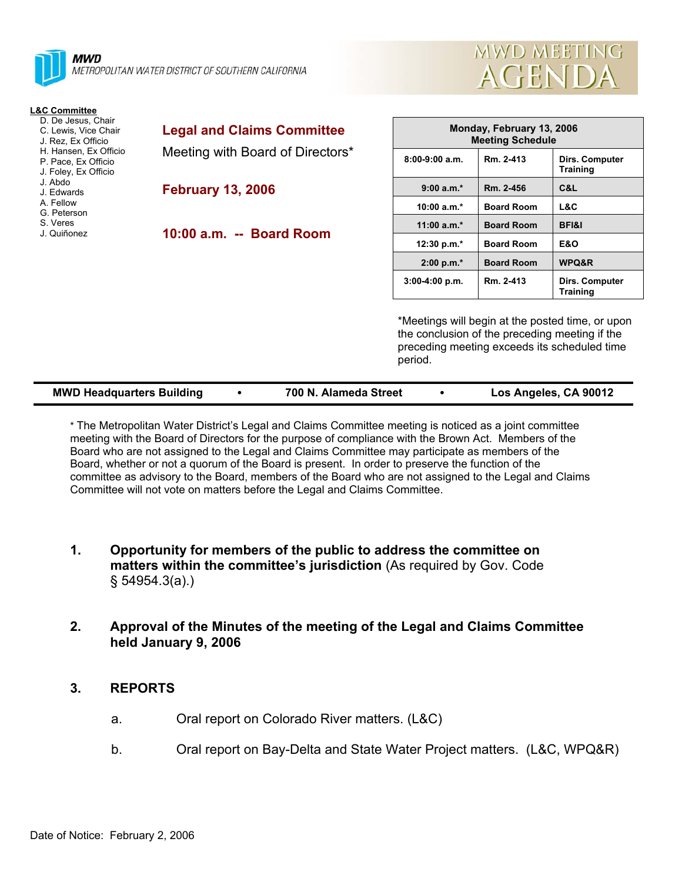



| L&C Committee<br>D. De Jesus, Chair<br>C. Lewis, Vice Chair<br>J. Rez. Ex Officio | <b>Legal and Claims Committee</b> | Monday, February 13, 2006<br><b>Meeting Schedule</b> |                   |                                                  |
|-----------------------------------------------------------------------------------|-----------------------------------|------------------------------------------------------|-------------------|--------------------------------------------------|
| H. Hansen, Ex Officio<br>P. Pace, Ex Officio<br>J. Foley, Ex Officio              | Meeting with Board of Directors*  | $8:00-9:00$ a.m.                                     | Rm. 2-413         | Dirs. Computer<br><b>Training</b>                |
| J. Abdo<br>J. Edwards                                                             | <b>February 13, 2006</b>          | $9:00 a.m.*$                                         | Rm. 2-456         | C&L                                              |
| A. Fellow<br>G. Peterson                                                          |                                   | $10:00 a.m.*$                                        | <b>Board Room</b> | L&C                                              |
| S. Veres                                                                          |                                   | 11:00 $a.m.*$                                        | <b>Board Room</b> | <b>BFI&amp;I</b>                                 |
| J. Quiñonez                                                                       | 10:00 a.m. -- Board Room          | 12:30 p.m.*                                          | <b>Board Room</b> | <b>E&amp;O</b>                                   |
|                                                                                   |                                   | $2:00 p.m.*$                                         | <b>Board Room</b> | WPQ&R                                            |
|                                                                                   |                                   | $3:00-4:00 p.m.$                                     | Rm. 2-413         | Dirs. Computer<br><b>Training</b>                |
|                                                                                   |                                   |                                                      |                   | *Meetings will begin at the posted time, or upon |

the conclusion of the preceding meeting if the preceding meeting exceeds its scheduled time period.

| Los Angeles, CA 90012<br><b>MWD Headquarters Building</b><br>700 N. Alameda Street |
|------------------------------------------------------------------------------------|
|------------------------------------------------------------------------------------|

\* The Metropolitan Water District's Legal and Claims Committee meeting is noticed as a joint committee meeting with the Board of Directors for the purpose of compliance with the Brown Act. Members of the Board who are not assigned to the Legal and Claims Committee may participate as members of the Board, whether or not a quorum of the Board is present. In order to preserve the function of the committee as advisory to the Board, members of the Board who are not assigned to the Legal and Claims Committee will not vote on matters before the Legal and Claims Committee.

- **1. Opportunity for members of the public to address the committee on matters within the committee's jurisdiction** (As required by Gov. Code § 54954.3(a).)
- **2. Approval of the Minutes of the meeting of the Legal and Claims Committee held January 9, 2006**

# **3. REPORTS**

- a. Oral report on Colorado River matters. (L&C)
- b. Oral report on Bay-Delta and State Water Project matters. (L&C, WPQ&R)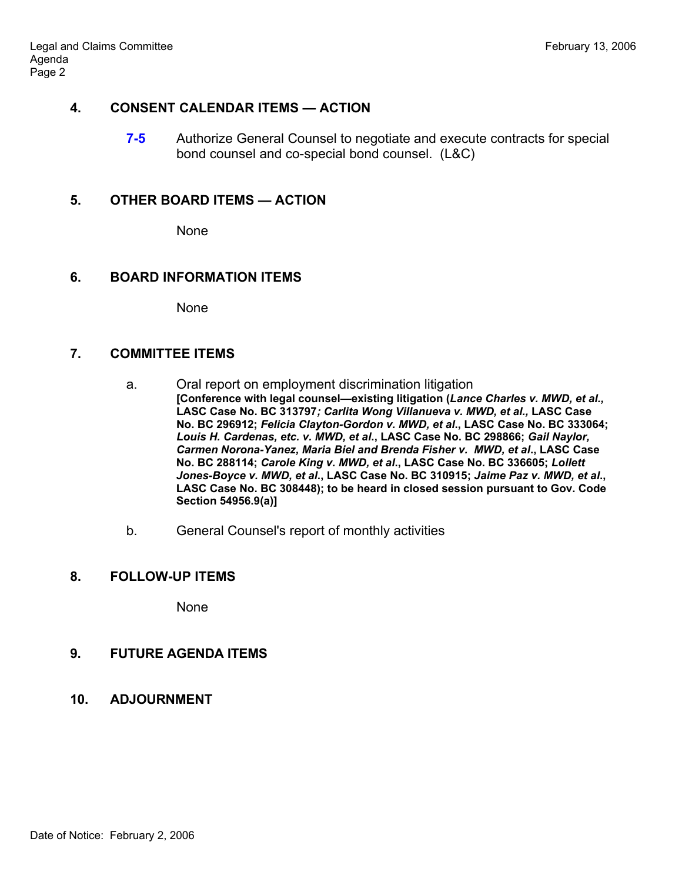# **4. CONSENT CALENDAR ITEMS — ACTION**

**7-5** Authorize General Counsel to negotiate and execute contracts for special bond counsel and co-special bond counsel. (L&C)

### **5. OTHER BOARD ITEMS — ACTION**

None

### **6. BOARD INFORMATION ITEMS**

None

# **7. COMMITTEE ITEMS**

- a. Oral report on employment discrimination litigation **[Conference with legal counsel—existing litigation (***Lance Charles v. MWD, et al.,*  **LASC Case No. BC 313797***; Carlita Wong Villanueva v. MWD, et al.,* **LASC Case No. BC 296912;** *Felicia Clayton-Gordon v. MWD, et al***., LASC Case No. BC 333064;**  *Louis H. Cardenas, etc. v. MWD, et al***., LASC Case No. BC 298866;** *Gail Naylor, Carmen Norona-Yanez, Maria Biel and Brenda Fisher v. MWD, et al***., LASC Case No. BC 288114;** *Carole King v. MWD, et al***., LASC Case No. BC 336605;** *Lollett Jones-Boyce v. MWD, et al***., LASC Case No. BC 310915;** *Jaime Paz v. MWD, et al***., LASC Case No. BC 308448); to be heard in closed session pursuant to Gov. Code Section 54956.9(a)]**
- b. General Counsel's report of monthly activities

#### **8. FOLLOW-UP ITEMS**

None

# **9. FUTURE AGENDA ITEMS**

**10. ADJOURNMENT**